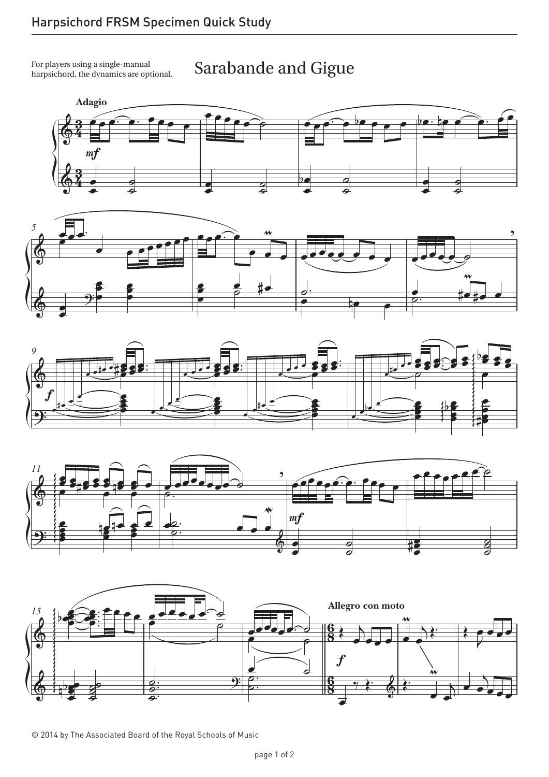For players using a single-manual  $\qquad \qquad \textrm{Sarabande and Gigue}$ For players using a single-manual harpsichord, the dynamics are optional.











© 2014 by The Associated Board of the Royal Schools of Music